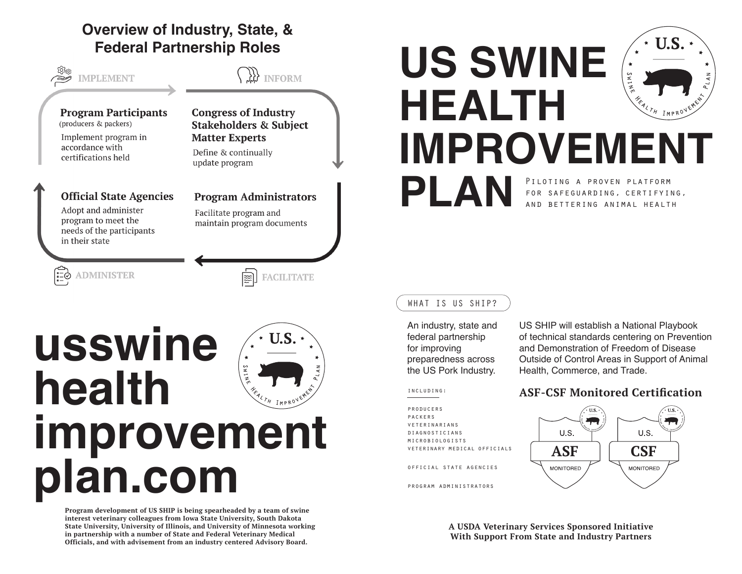# **Overview of Industry, State, & Federal Partnership Roles**



# **usswine health improvement plan.com**

**Program development of US SHIP is being spearheaded by a team of swine interest veterinary colleagues from Iowa State University, South Dakota State University, University of Illinois, and University of Minnesota working in partnership with a number of State and Federal Veterinary Medical Officials, and with advisement from an industry centered Advisory Board.**

# U.S. **US SWINE HEALTH IMPROVEMENT PLAN** PILOTING A PROVEN PLATFORM for safeguarding, certifying,

#### WHAT IS US SHIP?

An industry, state and federal partnership for improving preparedness across the US Pork Industry.

US SHIP will establish a National Playbook of technical standards centering on Prevention and Demonstration of Freedom of Disease Outside of Control Areas in Support of Animal Health, Commerce, and Trade.

#### including:

producers packers veterinarians diagnosticians microbiologists veterinary medical officials

official state agencies

program administrators

## **ASF-CSF Monitored Certification**

and bettering animal health



**A USDA Veterinary Services Sponsored Initiative With Support From State and Industry Partners**